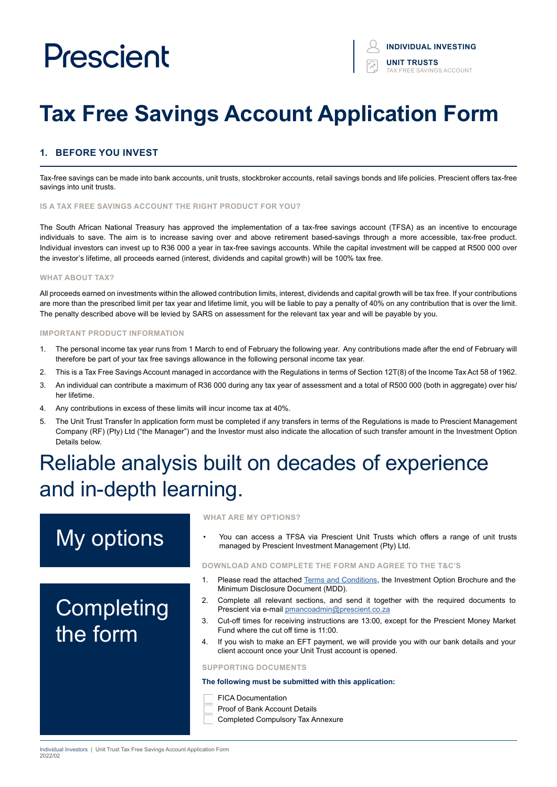# **Tax Free Savings Account Application Form**

### **1. BEFORE YOU INVEST**

Tax-free savings can be made into bank accounts, unit trusts, stockbroker accounts, retail savings bonds and life policies. Prescient offers tax-free savings into unit trusts.

#### **IS A TAX FREE SAVINGS ACCOUNT THE RIGHT PRODUCT FOR YOU?**

The South African National Treasury has approved the implementation of a tax-free savings account (TFSA) as an incentive to encourage individuals to save. The aim is to increase saving over and above retirement based-savings through a more accessible, tax-free product. Individual investors can invest up to R36 000 a year in tax-free savings accounts. While the capital investment will be capped at R500 000 over the investor's lifetime, all proceeds earned (interest, dividends and capital growth) will be 100% tax free.

#### **WHAT ABOUT TAX?**

All proceeds earned on investments within the allowed contribution limits, interest, dividends and capital growth will be tax free. If your contributions are more than the prescribed limit per tax year and lifetime limit, you will be liable to pay a penalty of 40% on any contribution that is over the limit. The penalty described above will be levied by SARS on assessment for the relevant tax year and will be payable by you.

#### **IMPORTANT PRODUCT INFORMATION**

- 1. The personal income tax year runs from 1 March to end of February the following year. Any contributions made after the end of February will therefore be part of your tax free savings allowance in the following personal income tax year.
- 2. This is a Tax Free Savings Account managed in accordance with the Regulations in terms of Section 12T(8) of the Income Tax Act 58 of 1962.
- 3. An individual can contribute a maximum of R36 000 during any tax year of assessment and a total of R500 000 (both in aggregate) over his/ her lifetime.
- 4. Any contributions in excess of these limits will incur income tax at 40%.
- 5. The Unit Trust Transfer In application form must be completed if any transfers in terms of the Regulations is made to Prescient Management Company (RF) (Pty) Ltd ("the Manager") and the Investor must also indicate the allocation of such transfer amount in the Investment Option Details below.

# Reliable analysis built on decades of experience and in-depth learning.

# My options

# **Completing** the form

#### **WHAT ARE MY OPTIONS?**

• You can access a TFSA via Prescient Unit Trusts which offers a range of unit trusts managed by Prescient Investment Management (Pty) Ltd.

#### **DOWNLOAD AND COMPLETE THE FORM AND AGREE TO THE T&C'S**

- 1. Please read the attached [Terms and Conditions](https://www.prescient.co.za/media/nryjvycp/2021-terms-conditions.pdf), the Investment Option Brochure and the Minimum Disclosure Document (MDD).
- 2. Complete all relevant sections, and send it together with the required documents to Prescient via e-mail [pmancoadmin@prescient.co.za](mailto:pmancoadmin%40prescient.co.za?subject=Prescient%20-%20TFSA%20Application%20Form)
- 3. Cut-off times for receiving instructions are 13:00, except for the Prescient Money Market Fund where the cut off time is 11:00.
- 4. If you wish to make an EFT payment, we will provide you with our bank details and your client account once your Unit Trust account is opened.

#### **SUPPORTING DOCUMENTS**

#### **The following must be submitted with this application:**

- FICA Documentation
- Proof of Bank Account Details
- Completed Compulsory Tax Annexure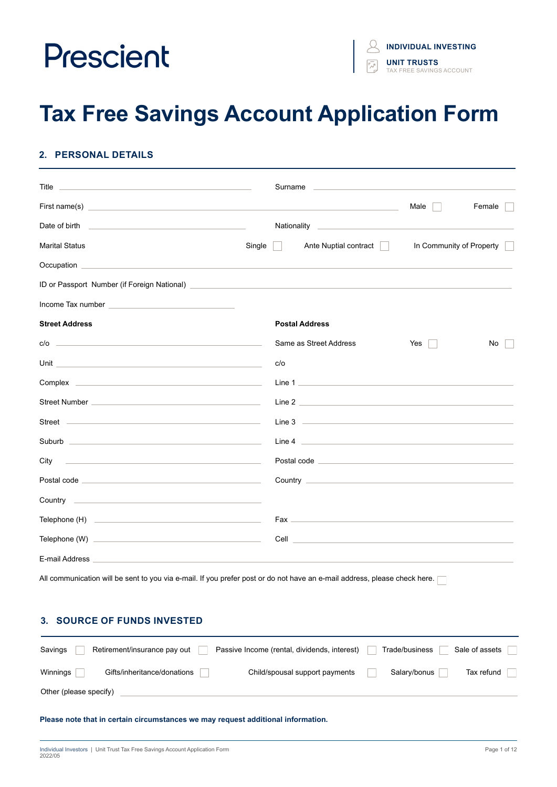# **Tax Free Savings Account Application Form**

## **2. PERSONAL DETAILS**

| <u> 1989 - Johann Harry Harry Harry Harry Harry Harry Harry Harry Harry Harry Harry Harry Harry Harry Harry Harry</u><br>Title                                                                                                       |        | Surname | the control of the control of the control of the control of the control of                                                                                                                                                           |      |                          |
|--------------------------------------------------------------------------------------------------------------------------------------------------------------------------------------------------------------------------------------|--------|---------|--------------------------------------------------------------------------------------------------------------------------------------------------------------------------------------------------------------------------------------|------|--------------------------|
|                                                                                                                                                                                                                                      |        |         | the control of the control of the control of the control of the control of                                                                                                                                                           | Male | Female                   |
| <u> 1999 - Johann Harry Harry Harry Harry Harry Harry Harry Harry Harry Harry Harry Harry Harry Harry Harry Harry</u><br>Date of birth                                                                                               |        |         |                                                                                                                                                                                                                                      |      |                          |
| <b>Marital Status</b>                                                                                                                                                                                                                | Single |         | Ante Nuptial contract                                                                                                                                                                                                                |      | In Community of Property |
|                                                                                                                                                                                                                                      |        |         |                                                                                                                                                                                                                                      |      |                          |
| ID or Passport Number (if Foreign National) <b>Contract Contract Contract Contract Contract Contract Contract Contract Contract Contract Contract Contract Contract Contract Contract Contract Contract Contract Contract Contra</b> |        |         |                                                                                                                                                                                                                                      |      |                          |
| Income Tax number and the state of the state of the state of the state of the state of the state of the state of the state of the state of the state of the state of the state of the state of the state of the state of the s       |        |         |                                                                                                                                                                                                                                      |      |                          |
| <b>Street Address</b>                                                                                                                                                                                                                |        |         | <b>Postal Address</b>                                                                                                                                                                                                                |      |                          |
| $c/o$ $\qquad$                                                                                                                                                                                                                       |        |         | Same as Street Address                                                                                                                                                                                                               | Yes  | No                       |
|                                                                                                                                                                                                                                      |        | c/o     |                                                                                                                                                                                                                                      |      |                          |
|                                                                                                                                                                                                                                      |        |         | Line 1                                                                                                                                                                                                                               |      |                          |
|                                                                                                                                                                                                                                      |        |         |                                                                                                                                                                                                                                      |      |                          |
|                                                                                                                                                                                                                                      |        |         |                                                                                                                                                                                                                                      |      |                          |
|                                                                                                                                                                                                                                      |        |         |                                                                                                                                                                                                                                      |      |                          |
| City<br><u> 1999 - Johann Harry Harry Harry Harry Harry Harry Harry Harry Harry Harry Harry Harry Harry Harry Harry Harry</u>                                                                                                        |        |         | Postal code <u>experience and a series of the series of the series of the series of the series of the series of the series of the series of the series of the series of the series of the series of the series of the series of </u> |      |                          |
| Postal code <u>and the contract of the contract of the contract of the contract of the contract of the contract of the contract of the contract of the contract of the contract of the contract of the contract of the contract </u> |        |         |                                                                                                                                                                                                                                      |      |                          |
|                                                                                                                                                                                                                                      |        |         |                                                                                                                                                                                                                                      |      |                          |
|                                                                                                                                                                                                                                      |        |         |                                                                                                                                                                                                                                      |      |                          |
|                                                                                                                                                                                                                                      |        |         |                                                                                                                                                                                                                                      |      |                          |
| E-mail Address                                                                                                                                                                                                                       |        |         |                                                                                                                                                                                                                                      |      |                          |
| All communication will be sent to you via e-mail. If you prefer post or do not have an e-mail address, please check here.                                                                                                            |        |         |                                                                                                                                                                                                                                      |      |                          |

### **3. SOURCE OF FUNDS INVESTED**

| Savings                | Retirement/insurance pay out | Passive Income (rental, dividends, interest) | Trade/business | Sale of assets |
|------------------------|------------------------------|----------------------------------------------|----------------|----------------|
| Winnings               | Gifts/inheritance/donations  | Child/spousal support payments               | Salary/bonus   | Tax refund     |
| Other (please specify) |                              |                                              |                |                |

#### **Please note that in certain circumstances we may request additional information.**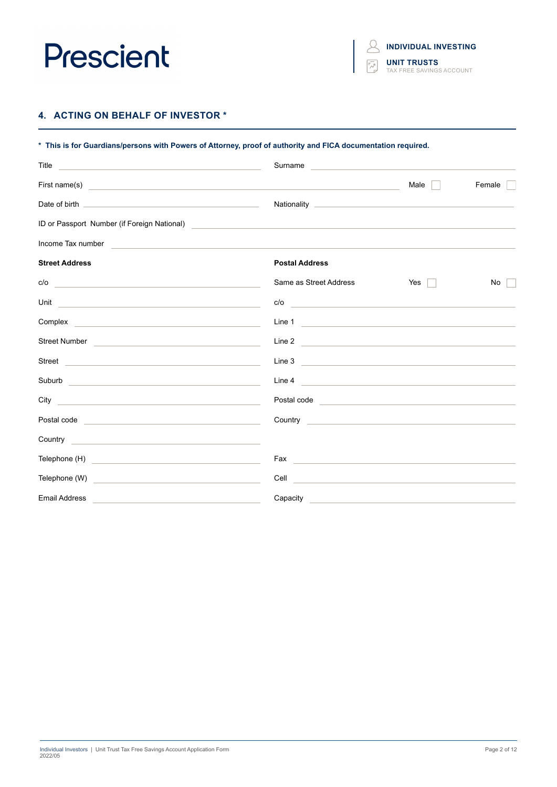$\beta$ **INDIVIDUAL INVESTING UNIT TRUSTS** TAX FREE SAVINGS ACCOUNT

## **4. ACTING ON BEHALF OF INVESTOR \***

| * This is for Guardians/persons with Powers of Attorney, proof of authority and FICA documentation required.                                                                                                                           |                                                                                                                                                                                                                                      |                       |        |
|----------------------------------------------------------------------------------------------------------------------------------------------------------------------------------------------------------------------------------------|--------------------------------------------------------------------------------------------------------------------------------------------------------------------------------------------------------------------------------------|-----------------------|--------|
| Title<br><u> 1989 - Johann Stein, marwolaethau a bhann an t-Amhair an t-Amhair an t-Amhair an t-Amhair an t-Amhair an t-A</u>                                                                                                          | Surname                                                                                                                                                                                                                              |                       |        |
| First name(s)                                                                                                                                                                                                                          | <u> 1989 - Johann Sterling, marking fan de ferstjer fan de ferstjer fan de ferstjer fan de ferstjer fan de ferstj</u>                                                                                                                | Male                  | Female |
|                                                                                                                                                                                                                                        |                                                                                                                                                                                                                                      |                       |        |
| ID or Passport Number (if Foreign National)<br><u> and the contract of the contract of the contract of the contract of the contract of the contract of the contract of the contract of the contract of the contract of the contrac</u> |                                                                                                                                                                                                                                      |                       |        |
| Income Tax number                                                                                                                                                                                                                      |                                                                                                                                                                                                                                      |                       |        |
| <b>Street Address</b>                                                                                                                                                                                                                  | <b>Postal Address</b>                                                                                                                                                                                                                |                       |        |
| c/o<br><u> 1989 - Andrea State Barbara, amerikan personal dan personal dan personal dan personal dan personal dan personal </u>                                                                                                        | Same as Street Address                                                                                                                                                                                                               | Yes<br>$\mathbb{R}^n$ | No     |
| Unit<br><u> 1980 - Johann Barbara, martin amerikan basar da</u>                                                                                                                                                                        | c/o<br><u> 1989 - Andrea Andrew Maria (h. 1989).</u>                                                                                                                                                                                 |                       |        |
| Complex <u>examples</u> and the complex of the complex of the complex of the complex of the complex of the complex of the complex of the complex of the complex of the complex of the complex of the complex of the complex of the     | Line 1                                                                                                                                                                                                                               |                       |        |
| Street Number <b>Community Community Community</b> Community Community Community Community Community Community Community                                                                                                               | Line 2                                                                                                                                                                                                                               |                       |        |
| Street <b>Street Street Street Street Street</b>                                                                                                                                                                                       | Line 3                                                                                                                                                                                                                               |                       |        |
|                                                                                                                                                                                                                                        | Line 4                                                                                                                                                                                                                               |                       |        |
| City<br>the control of the control of the control of the control of the control of the control of                                                                                                                                      | Postal code <b>contract and contract of the contract of the contract of the contract of the contract of the contract of the contract of the contract of the contract of the contract of the contract of the contract of the cont</b> |                       |        |
|                                                                                                                                                                                                                                        | Country <u>Country</u>                                                                                                                                                                                                               |                       |        |
| Country <b>Countries and Countries and Countries and Countries and Countries and Countries and Countries and Countries and Countries and Countries and Countries and Countries and Countries and Countries and Countries and Cou</b>   |                                                                                                                                                                                                                                      |                       |        |
|                                                                                                                                                                                                                                        | Fax<br><u> 1980 - Andrea Albert III, politik eta politik eta politik eta politik eta politik eta politik eta politik e</u>                                                                                                           |                       |        |
| Telephone (W)<br><u> 1989 - Andrea State Barbara, amerikan personal di sebagai personal di sebagai personal di sebagai personal d</u>                                                                                                  | Cell <b>Contract of the Contract of the Contract of the Contract of the Contract of the Contract of the Contract of the Contract of the Contract of the Contract of the Contract of the Contract of the Contract of the Contract</b> |                       |        |
| <b>Email Address</b>                                                                                                                                                                                                                   | Capacity <b>Capacity Capacity Capacity Capacity</b>                                                                                                                                                                                  |                       |        |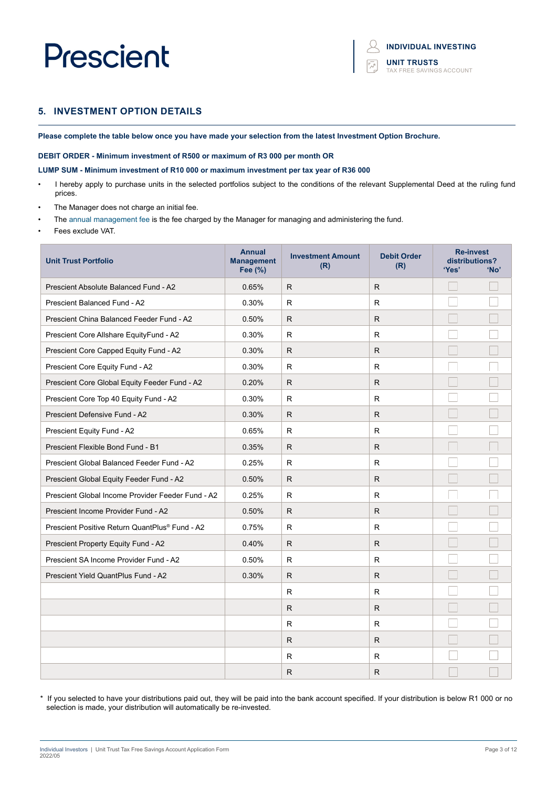### **5. INVESTMENT OPTION DETAILS**

**Please complete the table below once you have made your selection from the latest Investment Option Brochure.**

#### **DEBIT ORDER - Minimum investment of R500 or maximum of R3 000 per month OR**

#### **LUMP SUM - Minimum investment of R10 000 or maximum investment per tax year of R36 000**

- I hereby apply to purchase units in the selected portfolios subject to the conditions of the relevant Supplemental Deed at the ruling fund prices.
- The Manager does not charge an initial fee.
- The annual management fee is the fee charged by the Manager for managing and administering the fund.
- Fees exclude VAT.

| <b>Unit Trust Portfolio</b>                                | <b>Annual</b><br><b>Management</b><br>Fee (%) | <b>Investment Amount</b><br>(R) | <b>Debit Order</b><br>(R) | <b>Re-invest</b><br>distributions?<br>'Yes' | 'No' |
|------------------------------------------------------------|-----------------------------------------------|---------------------------------|---------------------------|---------------------------------------------|------|
| Prescient Absolute Balanced Fund - A2                      | 0.65%                                         | R                               | R                         |                                             |      |
| <b>Prescient Balanced Fund - A2</b>                        | 0.30%                                         | R.                              | R.                        |                                             |      |
| Prescient China Balanced Feeder Fund - A2                  | 0.50%                                         | ${\sf R}$                       | $\mathsf{R}$              |                                             |      |
| Prescient Core Allshare EquityFund - A2                    | 0.30%                                         | R                               | R.                        |                                             |      |
| Prescient Core Capped Equity Fund - A2                     | 0.30%                                         | R                               | R                         |                                             |      |
| Prescient Core Equity Fund - A2                            | 0.30%                                         | R                               | R                         |                                             |      |
| Prescient Core Global Equity Feeder Fund - A2              | 0.20%                                         | R                               | R.                        |                                             |      |
| Prescient Core Top 40 Equity Fund - A2                     | 0.30%                                         | $\mathsf R$                     | R                         |                                             |      |
| Prescient Defensive Fund - A2                              | 0.30%                                         | R                               | R                         |                                             |      |
| Prescient Equity Fund - A2                                 | 0.65%                                         | R                               | R                         |                                             |      |
| Prescient Flexible Bond Fund - B1                          | 0.35%                                         | R                               | R                         |                                             |      |
| Prescient Global Balanced Feeder Fund - A2                 | 0.25%                                         | R.                              | R.                        |                                             |      |
| Prescient Global Equity Feeder Fund - A2                   | 0.50%                                         | R.                              | R.                        |                                             |      |
| Prescient Global Income Provider Feeder Fund - A2          | 0.25%                                         | R.                              | R.                        |                                             |      |
| Prescient Income Provider Fund - A2                        | 0.50%                                         | R.                              | R.                        |                                             |      |
| Prescient Positive Return QuantPlus <sup>®</sup> Fund - A2 | 0.75%                                         | $\mathsf R$                     | R.                        |                                             |      |
| Prescient Property Equity Fund - A2                        | 0.40%                                         | R.                              | R.                        |                                             |      |
| Prescient SA Income Provider Fund - A2                     | 0.50%                                         | R                               | R                         |                                             |      |
| Prescient Yield QuantPlus Fund - A2                        | 0.30%                                         | R.                              | R.                        |                                             |      |
|                                                            |                                               | $\mathsf{R}$                    | R                         |                                             |      |
|                                                            |                                               | R.                              | R.                        |                                             |      |
|                                                            |                                               | R.                              | R.                        |                                             |      |
|                                                            |                                               | $\mathsf{R}$                    | R.                        |                                             |      |
|                                                            |                                               | R                               | R                         |                                             |      |
|                                                            |                                               | R                               | R.                        |                                             |      |

\* If you selected to have your distributions paid out, they will be paid into the bank account specified. If your distribution is below R1 000 or no selection is made, your distribution will automatically be re-invested.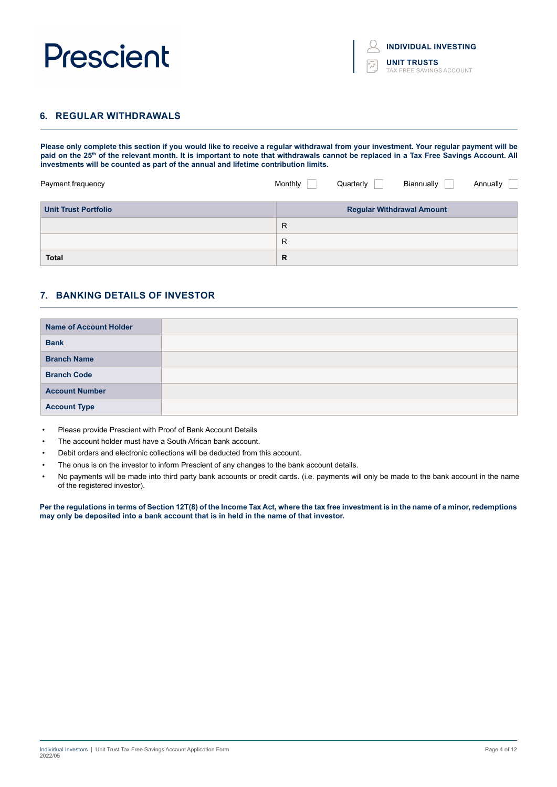| <b>INDIVIDUAL INVESTING</b>                    |
|------------------------------------------------|
| <b>UNIT TRUSTS</b><br>TAX FREE SAVINGS ACCOUNT |

### **6. REGULAR WITHDRAWALS**

**Please only complete this section if you would like to receive a regular withdrawal from your investment. Your regular payment will be**  paid on the 25<sup>th</sup> of the relevant month. It is important to note that withdrawals cannot be replaced in a Tax Free Savings Account. All **investments will be counted as part of the annual and lifetime contribution limits.** 

| Payment frequency           | Monthly      | Quarterly | Biannually                       | Annually |
|-----------------------------|--------------|-----------|----------------------------------|----------|
| <b>Unit Trust Portfolio</b> |              |           | <b>Regular Withdrawal Amount</b> |          |
|                             | $\mathsf{R}$ |           |                                  |          |
|                             | R            |           |                                  |          |
| <b>Total</b>                | R            |           |                                  |          |

### **7. BANKING DETAILS OF INVESTOR**

| <b>Name of Account Holder</b> |  |
|-------------------------------|--|
| <b>Bank</b>                   |  |
| <b>Branch Name</b>            |  |
| <b>Branch Code</b>            |  |
| <b>Account Number</b>         |  |
| <b>Account Type</b>           |  |

- Please provide Prescient with Proof of Bank Account Details
- The account holder must have a South African bank account.
- Debit orders and electronic collections will be deducted from this account.
- The onus is on the investor to inform Prescient of any changes to the bank account details.
- No payments will be made into third party bank accounts or credit cards. (i.e. payments will only be made to the bank account in the name of the registered investor).

**Per the regulations in terms of Section 12T(8) of the Income Tax Act, where the tax free investment is in the name of a minor, redemptions may only be deposited into a bank account that is in held in the name of that investor.**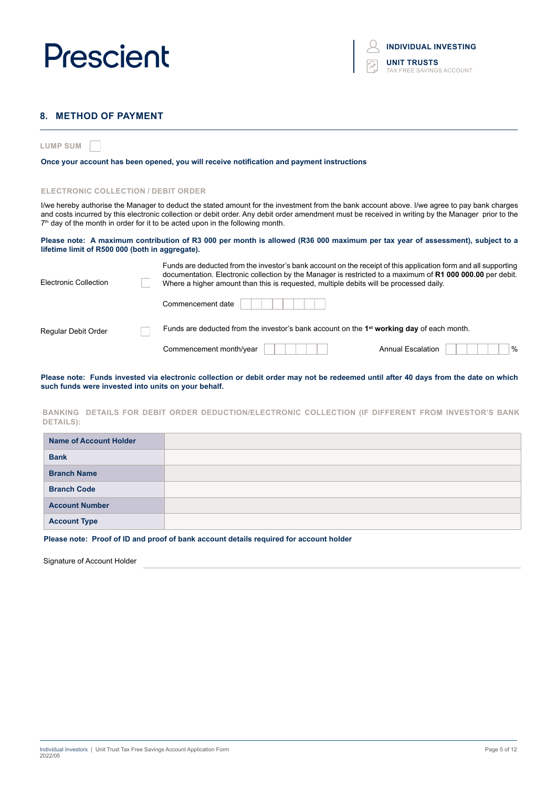

### **8. METHOD OF PAYMENT**

**LUMP SUM**

**Once your account has been opened, you will receive notification and payment instructions**

#### **ELECTRONIC COLLECTION / DEBIT ORDER**

I/we hereby authorise the Manager to deduct the stated amount for the investment from the bank account above. I/we agree to pay bank charges and costs incurred by this electronic collection or debit order. Any debit order amendment must be received in writing by the Manager prior to the  $7<sup>th</sup>$  day of the month in order for it to be acted upon in the following month.

#### **Please note: A maximum contribution of R3 000 per month is allowed (R36 000 maximum per tax year of assessment), subject to a lifetime limit of R500 000 (both in aggregate).**

| Electronic Collection | Funds are deducted from the investor's bank account on the receipt of this application form and all supporting<br>documentation. Electronic collection by the Manager is restricted to a maximum of R1 000 000.00 per debit.<br>Where a higher amount than this is requested, multiple debits will be processed daily. |                                  |
|-----------------------|------------------------------------------------------------------------------------------------------------------------------------------------------------------------------------------------------------------------------------------------------------------------------------------------------------------------|----------------------------------|
|                       | Commencement date                                                                                                                                                                                                                                                                                                      |                                  |
| Regular Debit Order   | Funds are deducted from the investor's bank account on the 1 <sup>st</sup> working day of each month.                                                                                                                                                                                                                  |                                  |
|                       | Commencement month/year                                                                                                                                                                                                                                                                                                | $\%$<br><b>Annual Escalation</b> |

**Please note: Funds invested via electronic collection or debit order may not be redeemed until after 40 days from the date on which such funds were invested into units on your behalf.**

#### **BANKING DETAILS FOR DEBIT ORDER DEDUCTION/ELECTRONIC COLLECTION (IF DIFFERENT FROM INVESTOR'S BANK DETAILS):**

| <b>Name of Account Holder</b> |  |
|-------------------------------|--|
| <b>Bank</b>                   |  |
| <b>Branch Name</b>            |  |
| <b>Branch Code</b>            |  |
| <b>Account Number</b>         |  |
| <b>Account Type</b>           |  |

**Please note: Proof of ID and proof of bank account details required for account holder**

Signature of Account Holder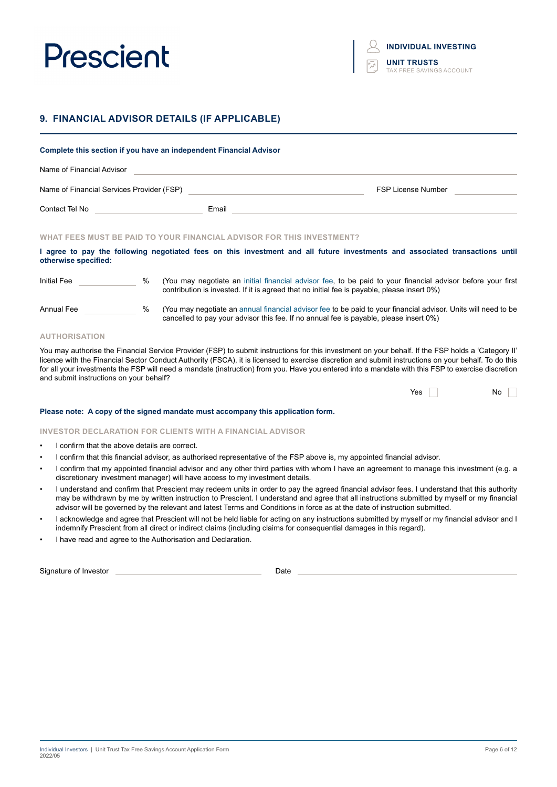### **9. FINANCIAL ADVISOR DETAILS (IF APPLICABLE)**

|                                      |   | Complete this section if you have an independent Financial Advisor                  |                                                                                                                                                                                                            |
|--------------------------------------|---|-------------------------------------------------------------------------------------|------------------------------------------------------------------------------------------------------------------------------------------------------------------------------------------------------------|
| Name of Financial Advisor            |   |                                                                                     |                                                                                                                                                                                                            |
|                                      |   | Name of Financial Services Provider (FSP) Name of Financial Services Provider (FSP) | <b>FSP License Number</b>                                                                                                                                                                                  |
| Contact Tel No <b>Contact Tel No</b> |   | Email                                                                               |                                                                                                                                                                                                            |
|                                      |   | WHAT FEES MUST BE PAID TO YOUR FINANCIAL ADVISOR FOR THIS INVESTMENT?               |                                                                                                                                                                                                            |
| otherwise specified:                 |   |                                                                                     | I agree to pay the following negotiated fees on this investment and all future investments and associated transactions until                                                                               |
| Initial Fee                          | % |                                                                                     | (You may negotiate an initial financial advisor fee, to be paid to your financial advisor before your first<br>contribution is invested. If it is agreed that no initial fee is payable, please insert 0%) |
| Annual Fee                           | % |                                                                                     | (You may negotiate an annual financial advisor fee to be paid to your financial advisor. Units will need to be<br>cancelled to pay your advisor this fee. If no annual fee is payable, please insert 0%)   |

#### **AUTHORISATION**

You may authorise the Financial Service Provider (FSP) to submit instructions for this investment on your behalf. If the FSP holds a 'Category II' licence with the Financial Sector Conduct Authority (FSCA), it is licensed to exercise discretion and submit instructions on your behalf. To do this for all your investments the FSP will need a mandate (instruction) from you. Have you entered into a mandate with this FSP to exercise discretion and submit instructions on your behalf?

| Yes |
|-----|
|-----|

#### **Please note: A copy of the signed mandate must accompany this application form.**

#### **INVESTOR DECLARATION FOR CLIENTS WITH A FINANCIAL ADVISOR**

- I confirm that the above details are correct.
- I confirm that this financial advisor, as authorised representative of the FSP above is, my appointed financial advisor.
- I confirm that my appointed financial advisor and any other third parties with whom I have an agreement to manage this investment (e.g. a discretionary investment manager) will have access to my investment details.
- I understand and confirm that Prescient may redeem units in order to pay the agreed financial advisor fees. I understand that this authority may be withdrawn by me by written instruction to Prescient. I understand and agree that all instructions submitted by myself or my financial advisor will be governed by the relevant and latest Terms and Conditions in force as at the date of instruction submitted.
- I acknowledge and agree that Prescient will not be held liable for acting on any instructions submitted by myself or my financial advisor and I indemnify Prescient from all direct or indirect claims (including claims for consequential damages in this regard).
- I have read and agree to the Authorisation and Declaration.

Signature of Investor **Date**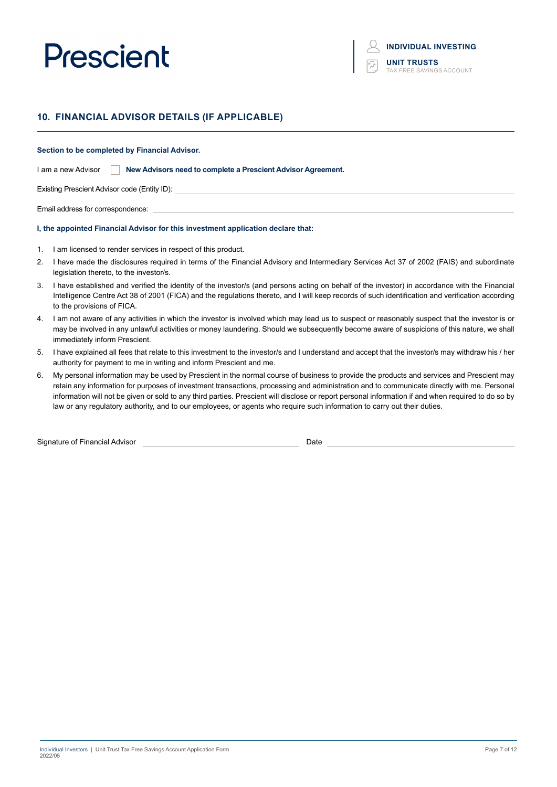## **10. FINANCIAL ADVISOR DETAILS (IF APPLICABLE)**

#### **Section to be completed by Financial Advisor.**

I am a new Advisor **New Advisors need to complete a Prescient Advisor Agreement.**

Existing Prescient Advisor code (Entity ID):

Email address for correspondence:

#### **I, the appointed Financial Advisor for this investment application declare that:**

- 1. I am licensed to render services in respect of this product.
- 2. I have made the disclosures required in terms of the Financial Advisory and Intermediary Services Act 37 of 2002 (FAIS) and subordinate legislation thereto, to the investor/s.
- 3. I have established and verified the identity of the investor/s (and persons acting on behalf of the investor) in accordance with the Financial Intelligence Centre Act 38 of 2001 (FICA) and the regulations thereto, and I will keep records of such identification and verification according to the provisions of FICA.
- 4. I am not aware of any activities in which the investor is involved which may lead us to suspect or reasonably suspect that the investor is or may be involved in any unlawful activities or money laundering. Should we subsequently become aware of suspicions of this nature, we shall immediately inform Prescient.
- 5. I have explained all fees that relate to this investment to the investor/s and I understand and accept that the investor/s may withdraw his / her authority for payment to me in writing and inform Prescient and me.
- 6. My personal information may be used by Prescient in the normal course of business to provide the products and services and Prescient may retain any information for purposes of investment transactions, processing and administration and to communicate directly with me. Personal information will not be given or sold to any third parties. Prescient will disclose or report personal information if and when required to do so by law or any regulatory authority, and to our employees, or agents who require such information to carry out their duties.

Signature of Financial Advisor Date Date of Signature of Financial Advisor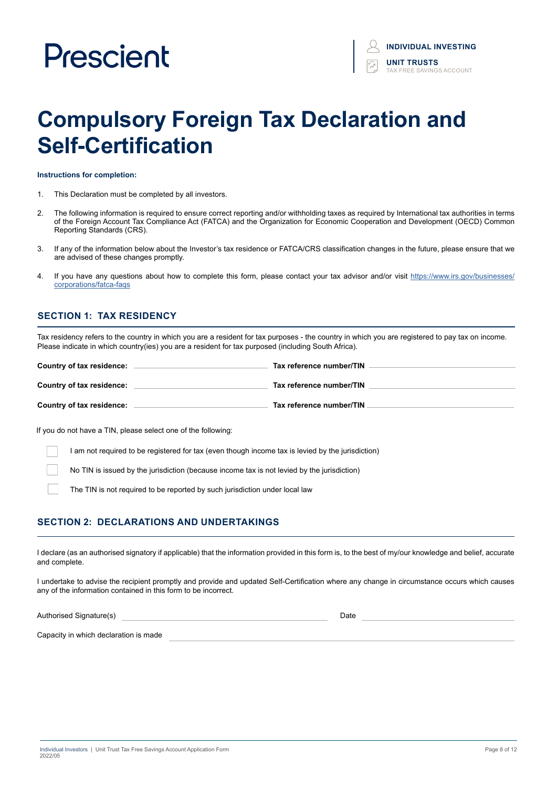# **Compulsory Foreign Tax Declaration and Self-Certification**

#### **Instructions for completion:**

- 1. This Declaration must be completed by all investors.
- 2. The following information is required to ensure correct reporting and/or withholding taxes as required by International tax authorities in terms of the Foreign Account Tax Compliance Act (FATCA) and the Organization for Economic Cooperation and Development (OECD) Common Reporting Standards (CRS).
- 3. If any of the information below about the Investor's tax residence or FATCA/CRS classification changes in the future, please ensure that we are advised of these changes promptly.
- 4. If you have any questions about how to complete this form, please contact your tax advisor and/or visit https://www.irs.gov/businesses/ corporations/fatca-faqs

### **SECTION 1: TAX RESIDENCY**

Tax residency refers to the country in which you are a resident for tax purposes - the country in which you are registered to pay tax on income. Please indicate in which country(ies) you are a resident for tax purposed (including South Africa).

| Country of tax residence: | Tax reference number/TIN |
|---------------------------|--------------------------|
| Country of tax residence: | Tax reference number/TIN |
| Country of tax residence: | Tax reference number/TIN |

If you do not have a TIN, please select one of the following:

I am not required to be registered for tax (even though income tax is levied by the jurisdiction)

No TIN is issued by the jurisdiction (because income tax is not levied by the jurisdiction)

The TIN is not required to be reported by such jurisdiction under local law

### **SECTION 2: DECLARATIONS AND UNDERTAKINGS**

I declare (as an authorised signatory if applicable) that the information provided in this form is, to the best of my/our knowledge and belief, accurate and complete.

I undertake to advise the recipient promptly and provide and updated Self-Certification where any change in circumstance occurs which causes any of the information contained in this form to be incorrect.

Authorised Signature(s) and the control of the control of the control of the control of the control of the control of the control of the control of the control of the control of the control of the control of the control of

Capacity in which declaration is made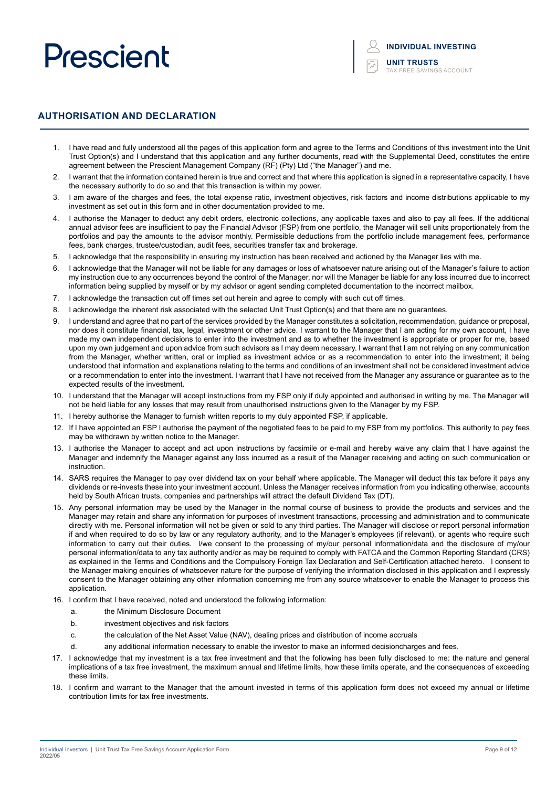### **AUTHORISATION AND DECLARATION**

- 1. I have read and fully understood all the pages of this application form and agree to the Terms and Conditions of this investment into the Unit Trust Option(s) and I understand that this application and any further documents, read with the Supplemental Deed, constitutes the entire agreement between the Prescient Management Company (RF) (Pty) Ltd ("the Manager") and me.
- 2. I warrant that the information contained herein is true and correct and that where this application is signed in a representative capacity, I have the necessary authority to do so and that this transaction is within my power.
- 3. I am aware of the charges and fees, the total expense ratio, investment objectives, risk factors and income distributions applicable to my investment as set out in this form and in other documentation provided to me.
- 4. I authorise the Manager to deduct any debit orders, electronic collections, any applicable taxes and also to pay all fees. If the additional annual advisor fees are insufficient to pay the Financial Advisor (FSP) from one portfolio, the Manager will sell units proportionately from the portfolios and pay the amounts to the advisor monthly. Permissible deductions from the portfolio include management fees, performance fees, bank charges, trustee/custodian, audit fees, securities transfer tax and brokerage.
- 5. I acknowledge that the responsibility in ensuring my instruction has been received and actioned by the Manager lies with me.
- 6. I acknowledge that the Manager will not be liable for any damages or loss of whatsoever nature arising out of the Manager's failure to action my instruction due to any occurrences beyond the control of the Manager, nor will the Manager be liable for any loss incurred due to incorrect information being supplied by myself or by my advisor or agent sending completed documentation to the incorrect mailbox.
- 7. I acknowledge the transaction cut off times set out herein and agree to comply with such cut off times.
- 8. I acknowledge the inherent risk associated with the selected Unit Trust Option(s) and that there are no guarantees.
- 9. I understand and agree that no part of the services provided by the Manager constitutes a solicitation, recommendation, guidance or proposal, nor does it constitute financial, tax, legal, investment or other advice. I warrant to the Manager that I am acting for my own account, I have made my own independent decisions to enter into the investment and as to whether the investment is appropriate or proper for me, based upon my own judgement and upon advice from such advisors as I may deem necessary. I warrant that I am not relying on any communication from the Manager, whether written, oral or implied as investment advice or as a recommendation to enter into the investment; it being understood that information and explanations relating to the terms and conditions of an investment shall not be considered investment advice or a recommendation to enter into the investment. I warrant that I have not received from the Manager any assurance or guarantee as to the expected results of the investment.
- 10. I understand that the Manager will accept instructions from my FSP only if duly appointed and authorised in writing by me. The Manager will not be held liable for any losses that may result from unauthorised instructions given to the Manager by my FSP.
- 11. I hereby authorise the Manager to furnish written reports to my duly appointed FSP, if applicable.
- 12. If I have appointed an FSP I authorise the payment of the negotiated fees to be paid to my FSP from my portfolios. This authority to pay fees may be withdrawn by written notice to the Manager.
- 13. I authorise the Manager to accept and act upon instructions by facsimile or e-mail and hereby waive any claim that I have against the Manager and indemnify the Manager against any loss incurred as a result of the Manager receiving and acting on such communication or instruction.
- 14. SARS requires the Manager to pay over dividend tax on your behalf where applicable. The Manager will deduct this tax before it pays any dividends or re-invests these into your investment account. Unless the Manager receives information from you indicating otherwise, accounts held by South African trusts, companies and partnerships will attract the default Dividend Tax (DT).
- 15. Any personal information may be used by the Manager in the normal course of business to provide the products and services and the Manager may retain and share any information for purposes of investment transactions, processing and administration and to communicate directly with me. Personal information will not be given or sold to any third parties. The Manager will disclose or report personal information if and when required to do so by law or any regulatory authority, and to the Manager's employees (if relevant), or agents who require such information to carry out their duties. I/we consent to the processing of my/our personal information/data and the disclosure of my/our personal information/data to any tax authority and/or as may be required to comply with FATCA and the Common Reporting Standard (CRS) as explained in the Terms and Conditions and the Compulsory Foreign Tax Declaration and Self-Certification attached hereto. I consent to the Manager making enquiries of whatsoever nature for the purpose of verifying the information disclosed in this application and I expressly consent to the Manager obtaining any other information concerning me from any source whatsoever to enable the Manager to process this application.
- 16. I confirm that I have received, noted and understood the following information:
	- a. the Minimum Disclosure Document
	- b. investment objectives and risk factors
	- c. the calculation of the Net Asset Value (NAV), dealing prices and distribution of income accruals
	- d. any additional information necessary to enable the investor to make an informed decisioncharges and fees.
- 17. I acknowledge that my investment is a tax free investment and that the following has been fully disclosed to me: the nature and general implications of a tax free investment, the maximum annual and lifetime limits, how these limits operate, and the consequences of exceeding these limits.
- 18. I confirm and warrant to the Manager that the amount invested in terms of this application form does not exceed my annual or lifetime contribution limits for tax free investments.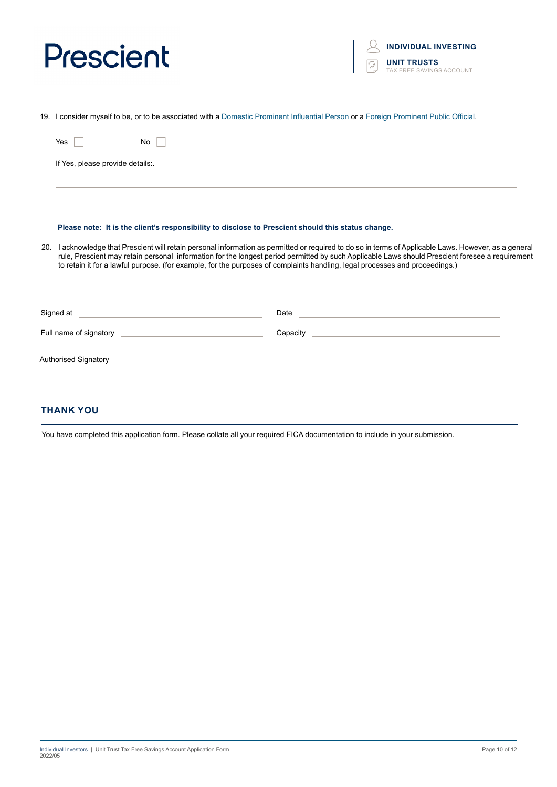

19. I consider myself to be, or to be associated with a Domestic Prominent Influential Person or a Foreign Prominent Public Official.

| Yes<br>No.                                                                                                                                                                                                                                                                                                                                                                                                                               |                                                                                                                               |  |  |
|------------------------------------------------------------------------------------------------------------------------------------------------------------------------------------------------------------------------------------------------------------------------------------------------------------------------------------------------------------------------------------------------------------------------------------------|-------------------------------------------------------------------------------------------------------------------------------|--|--|
| If Yes, please provide details:.                                                                                                                                                                                                                                                                                                                                                                                                         |                                                                                                                               |  |  |
|                                                                                                                                                                                                                                                                                                                                                                                                                                          |                                                                                                                               |  |  |
| Please note: It is the client's responsibility to disclose to Prescient should this status change.                                                                                                                                                                                                                                                                                                                                       |                                                                                                                               |  |  |
| 20. I acknowledge that Prescient will retain personal information as permitted or required to do so in terms of Applicable Laws. However, as a general<br>rule, Prescient may retain personal information for the longest period permitted by such Applicable Laws should Prescient foresee a requirement<br>to retain it for a lawful purpose. (for example, for the purposes of complaints handling, legal processes and proceedings.) |                                                                                                                               |  |  |
| Signed at                                                                                                                                                                                                                                                                                                                                                                                                                                | Date<br><u> 1989 - Johann Barbara, martin amerikan basar dan berasal dalam basar dalam basar dalam basar dalam basar dala</u> |  |  |
| Full name of signatory                                                                                                                                                                                                                                                                                                                                                                                                                   | Capacity                                                                                                                      |  |  |
| Authorised Signatory                                                                                                                                                                                                                                                                                                                                                                                                                     |                                                                                                                               |  |  |
|                                                                                                                                                                                                                                                                                                                                                                                                                                          |                                                                                                                               |  |  |

## **THANK YOU**

You have completed this application form. Please collate all your required FICA documentation to include in your submission.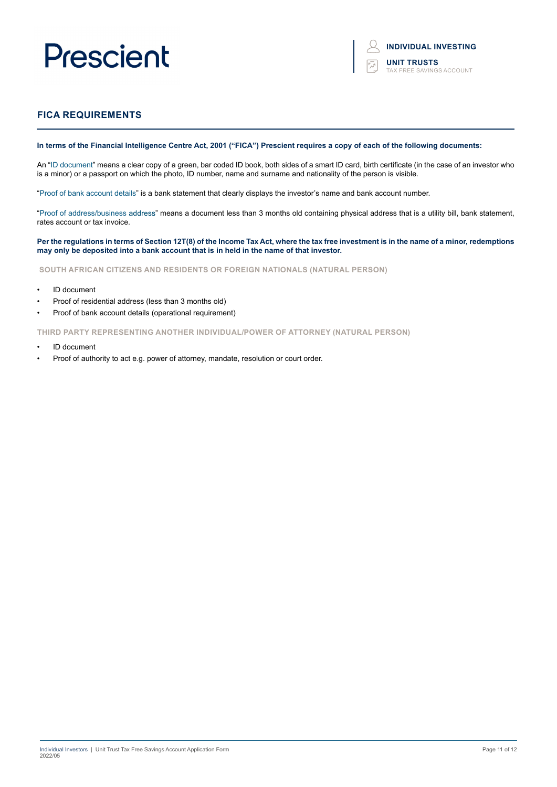## **FICA REQUIREMENTS**

#### **In terms of the Financial Intelligence Centre Act, 2001 ("FICA") Prescient requires a copy of each of the following documents:**

An "ID document" means a clear copy of a green, bar coded ID book, both sides of a smart ID card, birth certificate (in the case of an investor who is a minor) or a passport on which the photo, ID number, name and surname and nationality of the person is visible.

"Proof of bank account details" is a bank statement that clearly displays the investor's name and bank account number.

"Proof of address/business address" means a document less than 3 months old containing physical address that is a utility bill, bank statement, rates account or tax invoice.

#### **Per the regulations in terms of Section 12T(8) of the Income Tax Act, where the tax free investment is in the name of a minor, redemptions may only be deposited into a bank account that is in held in the name of that investor.**

**SOUTH AFRICAN CITIZENS AND RESIDENTS OR FOREIGN NATIONALS (NATURAL PERSON)**

- ID document
- Proof of residential address (less than 3 months old)
- Proof of bank account details (operational requirement)

**THIRD PARTY REPRESENTING ANOTHER INDIVIDUAL/POWER OF ATTORNEY (NATURAL PERSON)**

- ID document
- Proof of authority to act e.g. power of attorney, mandate, resolution or court order.